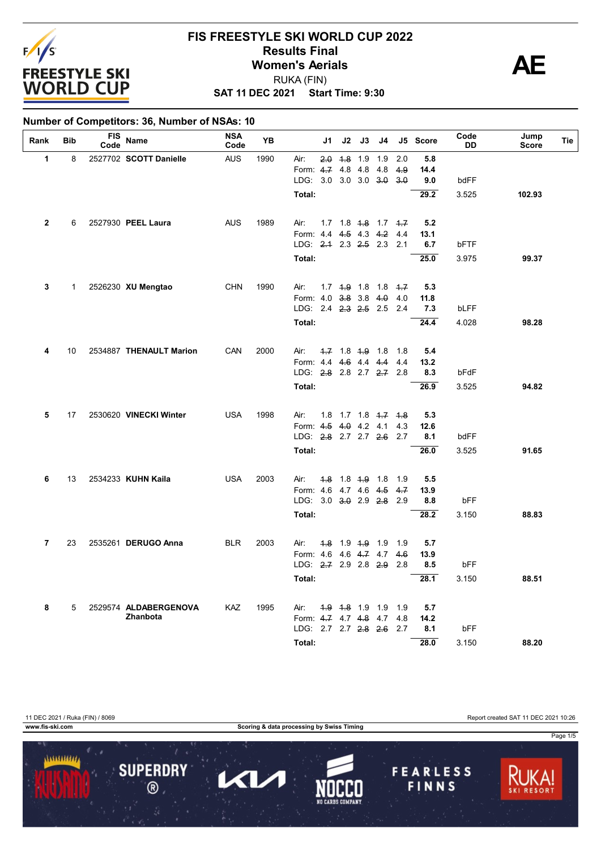

### **SAT 11 DEC 2021 Start Time: 9:30 FIS FREESTYLE SKI WORLD CUP 2022 Results Final**<br>
Women's Aerials<br>
PUKA (FIN) RUKA (FIN)



#### **Number of Competitors: 36, Number of NSAs: 10**

| Rank           | <b>Bib</b> | <b>FIS</b><br>Code | Name                    | <b>NSA</b><br>Code | YB   |                          | J1  | J2          | J3                             | J4                        |            | J5 Score    | Code<br>DD | Jump<br><b>Score</b> | Tie |
|----------------|------------|--------------------|-------------------------|--------------------|------|--------------------------|-----|-------------|--------------------------------|---------------------------|------------|-------------|------------|----------------------|-----|
| 1              | 8          |                    | 2527702 SCOTT Danielle  | <b>AUS</b>         | 1990 | Air:                     | 2.0 | 4.8         | 1.9                            | 1.9                       | 2.0        | 5.8         |            |                      |     |
|                |            |                    |                         |                    |      | Form: $4.7$              |     | 4.8 4.8     |                                | 4.8                       | 4.9        | 14.4        |            |                      |     |
|                |            |                    |                         |                    |      | LDG: 3.0 3.0 3.0 3.0     |     |             |                                |                           | 3.0        | 9.0         | bdFF       |                      |     |
|                |            |                    |                         |                    |      | Total:                   |     |             |                                |                           |            | 29.2        | 3.525      | 102.93               |     |
| $\mathbf{2}$   | 6          |                    | 2527930 PEEL Laura      | <b>AUS</b>         | 1989 | Air:                     |     |             |                                | $1.7$ 1.8 $4.8$ 1.7 $4.7$ |            | 5.2         |            |                      |     |
|                |            |                    |                         |                    |      | Form: 4.4 4.5 4.3 4.2    |     |             |                                |                           | 4.4        | 13.1        |            |                      |     |
|                |            |                    |                         |                    |      | LDG: $2.1$ 2.3 $2.5$ 2.3 |     |             |                                |                           | 2.1        | 6.7         | bFTF       |                      |     |
|                |            |                    |                         |                    |      | Total:                   |     |             |                                |                           |            | 25.0        | 3.975      | 99.37                |     |
| 3              | 1          |                    | 2526230 XU Mengtao      | <b>CHN</b>         | 1990 | Air:                     |     |             |                                | $1.7$ $4.9$ $1.8$ $1.8$   | $+7$       | 5.3         |            |                      |     |
|                |            |                    |                         |                    |      | Form: 4.0                |     |             | $3.8$ 3.8 4.0                  |                           | 4.0        | 11.8        |            |                      |     |
|                |            |                    |                         |                    |      | LDG: 2.4 2.3 2.5 2.5     |     |             |                                |                           | 2.4        | 7.3         | bLFF       |                      |     |
|                |            |                    |                         |                    |      | Total:                   |     |             |                                |                           |            | 24.4        | 4.028      | 98.28                |     |
|                |            |                    |                         |                    |      |                          |     |             |                                |                           |            |             |            |                      |     |
| 4              | 10         |                    | 2534887 THENAULT Marion | CAN                | 2000 | Air:<br>Form: 4.4        |     |             | 4.7 1.8 4.9 1.8<br>4.6 4.4 4.4 |                           | 1.8<br>4.4 | 5.4<br>13.2 |            |                      |     |
|                |            |                    |                         |                    |      | LDG: 2.8 2.8 2.7 2.7 2.8 |     |             |                                |                           |            | 8.3         | bFdF       |                      |     |
|                |            |                    |                         |                    |      | Total:                   |     |             |                                |                           |            | 26.9        | 3.525      | 94.82                |     |
|                |            |                    |                         |                    |      |                          |     |             |                                |                           |            |             |            |                      |     |
| 5              | 17         |                    | 2530620 VINECKI Winter  | <b>USA</b>         | 1998 | Air:                     | 1.8 |             |                                | $1.7$ $1.8$ $1.7$ $1.8$   |            | 5.3         |            |                      |     |
|                |            |                    |                         |                    |      | Form: 4.5                |     |             | $4.0$ 4.2 4.1                  |                           | 4.3        | 12.6        |            |                      |     |
|                |            |                    |                         |                    |      | LDG: 2.8 2.7 2.7 2.6     |     |             |                                |                           | 2.7        | 8.1         | bdFF       |                      |     |
|                |            |                    |                         |                    |      | Total:                   |     |             |                                |                           |            | 26.0        | 3.525      | 91.65                |     |
| 6              | 13         |                    | 2534233 KUHN Kaila      | <b>USA</b>         | 2003 | Air:                     | 4.8 | $1.8 + .9$  |                                | 1.8                       | 1.9        | 5.5         |            |                      |     |
|                |            |                    |                         |                    |      | Form: 4.6 4.7 4.6 4.5    |     |             |                                |                           | 4.7        | 13.9        |            |                      |     |
|                |            |                    |                         |                    |      | LDG: 3.0 3.0 2.9 2.8     |     |             |                                |                           | 2.9        | 8.8         | bFF        |                      |     |
|                |            |                    |                         |                    |      | Total:                   |     |             |                                |                           |            | 28.2        | 3.150      | 88.83                |     |
| $\overline{7}$ | 23         |                    | 2535261 DERUGO Anna     | <b>BLR</b>         | 2003 | Air:                     |     |             | 4.8 1.9 4.9 1.9                |                           | 1.9        | 5.7         |            |                      |     |
|                |            |                    |                         |                    |      | Form: 4.6                |     |             | 4.6 4.7 4.7                    |                           | 4.6        | 13.9        |            |                      |     |
|                |            |                    |                         |                    |      | LDG: 2-7 2.9 2.8 2.9     |     |             |                                |                           | 2.8        | 8.5         | bFF        |                      |     |
|                |            |                    |                         |                    |      | Total:                   |     |             |                                |                           |            | 28.1        | 3.150      | 88.51                |     |
| 8              | 5          |                    | 2529574 ALDABERGENOVA   | KAZ                | 1995 | Air:                     |     | 4.9 4.8 1.9 |                                | 1.9                       | 1.9        | 5.7         |            |                      |     |
|                |            |                    | Zhanbota                |                    |      | Form: 4.7 4.7 4.8 4.7    |     |             |                                |                           | 4.8        | 14.2        |            |                      |     |
|                |            |                    |                         |                    |      | LDG: 2.7 2.7 2.8 2.6     |     |             |                                |                           | 2.7        | 8.1         | bFF        |                      |     |
|                |            |                    |                         |                    |      | Total:                   |     |             |                                |                           |            | 28.0        | 3.150      | 88.20                |     |

11 DEC 2021 / Ruka (FIN) / 8069 Report created SAT 11 DEC 2021 10:26

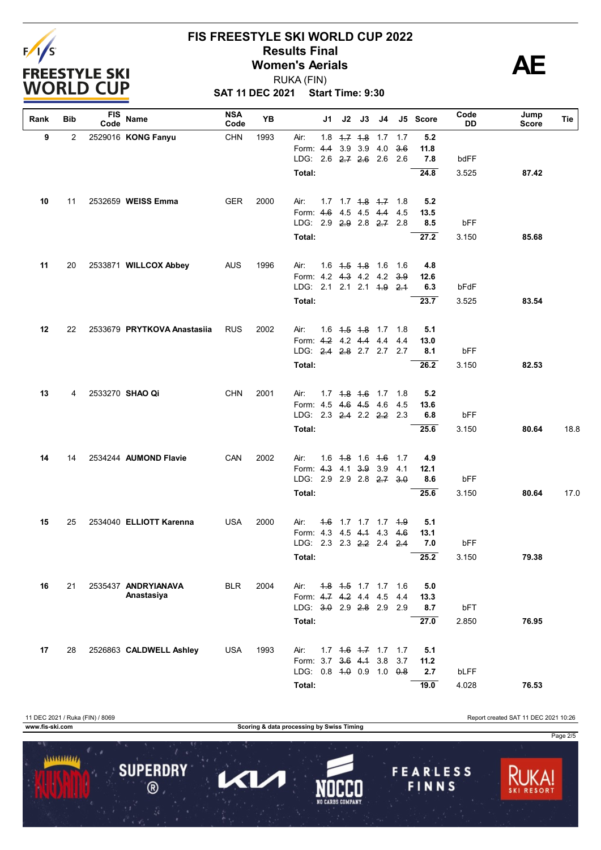

# **FIS FREESTYLE SKI WORLD CUP 2022 Results Final**<br>
Women's Aerials<br>
PUKA (FIN) RUKA (FIN)

**SAT 11 DEC 2021 Start Time: 9:30**

| Rank | Bib            | <b>FIS</b><br>Code | Name                              | <b>NSA</b><br>Code | YB   |                                                   | J1 | J2 | J3                      | J4                             |     | J5 Score    | Code<br>DD | Jump<br>Score | Tie  |
|------|----------------|--------------------|-----------------------------------|--------------------|------|---------------------------------------------------|----|----|-------------------------|--------------------------------|-----|-------------|------------|---------------|------|
| 9    | $\overline{2}$ |                    | 2529016 KONG Fanyu                | <b>CHN</b>         | 1993 | Air:                                              |    |    | $1.8$ $1.7$ $1.8$ $1.7$ |                                | 1.7 | 5.2         |            |               |      |
|      |                |                    |                                   |                    |      | Form: 4.4                                         |    |    | 3.9 3.9 4.0             |                                | 3.6 | 11.8        |            |               |      |
|      |                |                    |                                   |                    |      | LDG: 2.6 2.7 2.6 2.6 2.6                          |    |    |                         |                                |     | 7.8         | bdFF       |               |      |
|      |                |                    |                                   |                    |      | Total:                                            |    |    |                         |                                |     | 24.8        | 3.525      | 87.42         |      |
| 10   | 11             |                    | 2532659 WEISS Emma                | <b>GER</b>         | 2000 | Air:                                              |    |    |                         | 1.7 1.7 <del>1.8</del> 1.7 1.8 |     | 5.2         |            |               |      |
|      |                |                    |                                   |                    |      | Form: 4.6 4.5 4.5 4.4                             |    |    |                         |                                | 4.5 | 13.5        |            |               |      |
|      |                |                    |                                   |                    |      | LDG: 2.9 2.9 2.8 2.7 2.8                          |    |    |                         |                                |     | 8.5         | bFF        |               |      |
|      |                |                    |                                   |                    |      | Total:                                            |    |    |                         |                                |     | 27.2        | 3.150      | 85.68         |      |
| 11   | 20             |                    | 2533871 WILLCOX Abbey             | <b>AUS</b>         | 1996 | Air:                                              |    |    | $1.6$ $1.5$ $1.8$ $1.6$ |                                | 1.6 | 4.8         |            |               |      |
|      |                |                    |                                   |                    |      | Form: 4.2 4.3 4.2 4.2                             |    |    |                         |                                | 3.9 | 12.6        |            |               |      |
|      |                |                    |                                   |                    |      | LDG: 2.1 2.1 2.1 4.9 2.4                          |    |    |                         |                                |     | 6.3         | bFdF       |               |      |
|      |                |                    |                                   |                    |      | Total:                                            |    |    |                         |                                |     | 23.7        | 3.525      | 83.54         |      |
| 12   | 22             |                    | 2533679 PRYTKOVA Anastasiia       | <b>RUS</b>         | 2002 | Air:                                              |    |    | $1.6$ $1.5$ $1.8$ $1.7$ |                                | 1.8 | 5.1         |            |               |      |
|      |                |                    |                                   |                    |      | Form: 4.2 4.2 4.4 4.4                             |    |    |                         |                                | 4.4 | 13.0        |            |               |      |
|      |                |                    |                                   |                    |      | LDG: 2.4 2.8 2.7 2.7                              |    |    |                         |                                | 2.7 | 8.1         | bFF        |               |      |
|      |                |                    |                                   |                    |      | Total:                                            |    |    |                         |                                |     | 26.2        | 3.150      | 82.53         |      |
| 13   | 4              |                    | 2533270 SHAO Qi                   | <b>CHN</b>         | 2001 | Air:                                              |    |    |                         | 1.7 4.8 4.6 1.7 1.8            |     | 5.2         |            |               |      |
|      |                |                    |                                   |                    |      | Form: 4.5 4.6 4.5 4.6                             |    |    |                         |                                | 4.5 | 13.6        |            |               |      |
|      |                |                    |                                   |                    |      | LDG: 2.3 2.4 2.2 2.2 2.3                          |    |    |                         |                                |     | 6.8         | bFF        |               |      |
|      |                |                    |                                   |                    |      | Total:                                            |    |    |                         |                                |     | 25.6        | 3.150      | 80.64         | 18.8 |
| 14   | 14             |                    | 2534244 AUMOND Flavie             | CAN                | 2002 | Air:                                              |    |    | $1.6$ $4.8$ $1.6$ $4.6$ |                                | 1.7 | 4.9         |            |               |      |
|      |                |                    |                                   |                    |      | Form: 4.3 4.1 3.9 3.9                             |    |    |                         |                                | 4.1 | 12.1        |            |               |      |
|      |                |                    |                                   |                    |      | LDG: 2.9 2.9 2.8 2.7                              |    |    |                         |                                | 3.0 | 8.6         | bFF        |               |      |
|      |                |                    |                                   |                    |      | Total:                                            |    |    |                         |                                |     | 25.6        | 3.150      | 80.64         | 17.0 |
| 15   | 25             |                    | 2534040 ELLIOTT Karenna           | <b>USA</b>         | 2000 | Air:                                              |    |    |                         | 4.6 1.7 1.7 1.7 4.9            |     | 5.1         |            |               |      |
|      |                |                    |                                   |                    |      | Form: 4.3 4.5 4.4 4.3                             |    |    |                         |                                | 4.6 | 13.1        |            |               |      |
|      |                |                    |                                   |                    |      | LDG: 2.3 2.3 2.2 2.4 2.4                          |    |    |                         |                                |     | 7.0         | bFF        |               |      |
|      |                |                    |                                   |                    |      | Total:                                            |    |    |                         |                                |     | 25.2        | 3.150      | 79.38         |      |
|      |                |                    |                                   |                    |      |                                                   |    |    |                         |                                |     |             |            |               |      |
| 16   | 21             |                    | 2535437 ANDRYIANAVA<br>Anastasiya | <b>BLR</b>         | 2004 | Air:<br>Form: 4.7 4.2 4.4 4.5                     |    |    |                         | 4.8 4.5 1.7 1.7 1.6            | 4.4 | 5.0<br>13.3 |            |               |      |
|      |                |                    |                                   |                    |      | LDG: $3.0$ 2.9 2.8 2.9                            |    |    |                         |                                | 2.9 | 8.7         | bFT        |               |      |
|      |                |                    |                                   |                    |      | Total:                                            |    |    |                         |                                |     | 27.0        | 2.850      | 76.95         |      |
|      |                |                    |                                   |                    |      |                                                   |    |    |                         |                                |     |             |            |               |      |
| 17   | 28             |                    | 2526863 CALDWELL Ashley           | USA                | 1993 | Air:                                              |    |    |                         | $1.7$ $1.6$ $1.7$ $1.7$ $1.7$  |     | 5.1         |            |               |      |
|      |                |                    |                                   |                    |      | Form: 3.7 3.6 4.4 3.8<br>LDG: 0.8 4.0 0.9 1.0 0.8 |    |    |                         |                                | 3.7 | 11.2<br>2.7 | bLFF       |               |      |
|      |                |                    |                                   |                    |      | Total:                                            |    |    |                         |                                |     | 19.0        | 4.028      | 76.53         |      |
|      |                |                    |                                   |                    |      |                                                   |    |    |                         |                                |     |             |            |               |      |

11 DEC 2021 / Ruka (FIN) / 8069 Report created SAT 11 DEC 2021 10:26 **www.fis-ski.com Scoring & data processing by Swiss Timing** Page 2/51111111111 **SUPERDRY FEARLESS** 0  $\blacktriangleleft$  $\circledR$ FINNS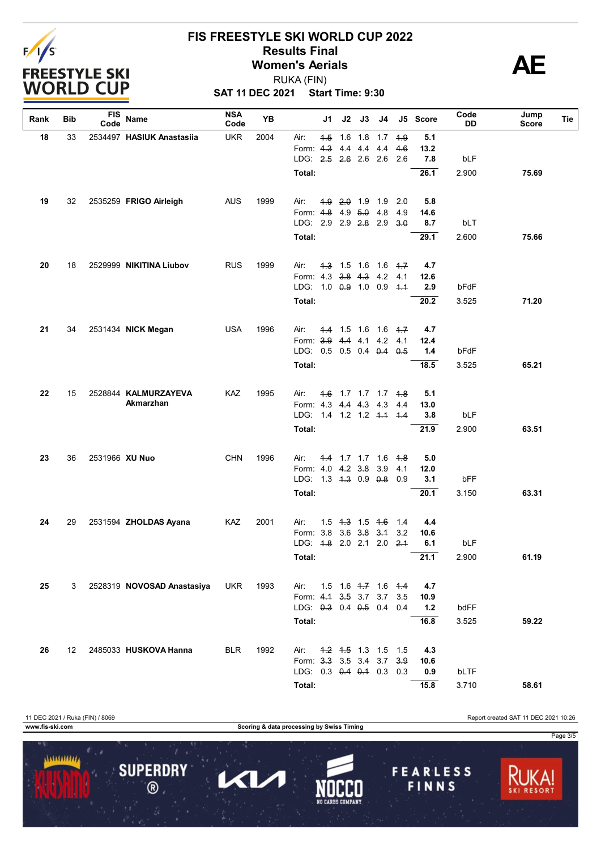

# **FIS FREESTYLE SKI WORLD CUP 2022 Results Final**<br>
Women's Aerials<br>
PUKA (FIN) RUKA (FIN)

**SAT 11 DEC 2021 Start Time: 9:30**

| Rank | Bib              | <b>FIS</b><br>Code | Name                       | <b>NSA</b><br>Code | YB   |                                     | J1  | J2 | J3                      | J4 |      | J5 Score | Code<br>DD | Jump<br>Score | Tie |
|------|------------------|--------------------|----------------------------|--------------------|------|-------------------------------------|-----|----|-------------------------|----|------|----------|------------|---------------|-----|
| 18   | 33               |                    | 2534497 HASIUK Anastasiia  | <b>UKR</b>         | 2004 | Air:                                | 4.5 |    | 1.6 1.8 1.7             |    | $+9$ | 5.1      |            |               |     |
|      |                  |                    |                            |                    |      | Form: 4.3                           |     |    | 4.4 4.4 4.4             |    | 4.6  | 13.2     |            |               |     |
|      |                  |                    |                            |                    |      | LDG: 2.5 2.6 2.6 2.6                |     |    |                         |    | 2.6  | 7.8      | bLF        |               |     |
|      |                  |                    |                            |                    |      | Total:                              |     |    |                         |    |      | 26.1     | 2.900      | 75.69         |     |
| 19   | 32               |                    | 2535259 FRIGO Airleigh     | <b>AUS</b>         | 1999 | Air:                                |     |    | $4.9$ $2.0$ 1.9 1.9     |    | 2.0  | 5.8      |            |               |     |
|      |                  |                    |                            |                    |      | Form: 4.8 4.9 5.0 4.8               |     |    |                         |    | 4.9  | 14.6     |            |               |     |
|      |                  |                    |                            |                    |      | LDG: 2.9 2.9 2.8 2.9 3.0            |     |    |                         |    |      | 8.7      | bLT        |               |     |
|      |                  |                    |                            |                    |      | Total:                              |     |    |                         |    |      | 29.1     | 2.600      | 75.66         |     |
|      |                  |                    |                            |                    |      |                                     |     |    |                         |    |      |          |            |               |     |
| 20   | 18               |                    | 2529999 NIKITINA Liubov    | <b>RUS</b>         | 1999 | Air:                                |     |    | $4.3$ 1.5 1.6 1.6 $4.7$ |    |      | 4.7      |            |               |     |
|      |                  |                    |                            |                    |      | Form: 4.3 3.8 4.3 4.2 4.1           |     |    |                         |    |      | 12.6     |            |               |     |
|      |                  |                    |                            |                    |      | LDG: 1.0 0.9 1.0 0.9 4.4            |     |    |                         |    |      | 2.9      | bFdF       |               |     |
|      |                  |                    |                            |                    |      | Total:                              |     |    |                         |    |      | 20.2     | 3.525      | 71.20         |     |
| 21   | 34               |                    | 2531434 NICK Megan         | <b>USA</b>         | 1996 | Air:                                |     |    | $4.4$ 1.5 1.6 1.6 $4.7$ |    |      | 4.7      |            |               |     |
|      |                  |                    |                            |                    |      | Form: 3.9 4.4 4.1 4.2               |     |    |                         |    | 4.1  | 12.4     |            |               |     |
|      |                  |                    |                            |                    |      | LDG: 0.5 0.5 0.4 0.4 0.5            |     |    |                         |    |      | 1.4      | bFdF       |               |     |
|      |                  |                    |                            |                    |      | Total:                              |     |    |                         |    |      | 18.5     | 3.525      | 65.21         |     |
|      |                  |                    |                            |                    |      |                                     |     |    |                         |    |      |          |            |               |     |
| 22   | 15               |                    | 2528844 KALMURZAYEVA       | KAZ                | 1995 | Air:                                |     |    | 4.6 1.7 1.7 1.7 4.8     |    |      | 5.1      |            |               |     |
|      |                  |                    | Akmarzhan                  |                    |      | Form: 4.3 4.4 4.3 4.3               |     |    |                         |    | 4.4  | 13.0     |            |               |     |
|      |                  |                    |                            |                    |      | LDG: 1.4 1.2 1.2 <del>1.1</del> 1.4 |     |    |                         |    |      | 3.8      | bLF        |               |     |
|      |                  |                    |                            |                    |      | Total:                              |     |    |                         |    |      | 21.9     | 2.900      | 63.51         |     |
| 23   | 36               | 2531966 XU Nuo     |                            | <b>CHN</b>         | 1996 | Air:                                |     |    | 4.4 1.7 1.7 1.6 4.8     |    |      | 5.0      |            |               |     |
|      |                  |                    |                            |                    |      | Form: 4.0 4.2 3.8 3.9               |     |    |                         |    | 4.1  | 12.0     |            |               |     |
|      |                  |                    |                            |                    |      | LDG: 1.3 4.3 0.9 0.8                |     |    |                         |    | 0.9  | 3.1      | bFF        |               |     |
|      |                  |                    |                            |                    |      | Total:                              |     |    |                         |    |      | 20.1     | 3.150      | 63.31         |     |
| 24   | 29               |                    | 2531594 ZHOLDAS Ayana      | KAZ                | 2001 | Air:                                |     |    | $1.5$ $4.3$ $1.5$ $4.6$ |    | 1.4  | 4.4      |            |               |     |
|      |                  |                    |                            |                    |      | Form: 3.8                           |     |    | $3.6$ $3.8$ $3.4$       |    | 3.2  | 10.6     |            |               |     |
|      |                  |                    |                            |                    |      | LDG: 4.8 2.0 2.1 2.0                |     |    |                         |    | 2.1  | 6.1      | bLF        |               |     |
|      |                  |                    |                            |                    |      | Total:                              |     |    |                         |    |      | 21.1     | 2.900      | 61.19         |     |
|      |                  |                    |                            |                    |      |                                     |     |    |                         |    |      |          |            |               |     |
| 25   | 3                |                    | 2528319 NOVOSAD Anastasiya | <b>UKR</b>         | 1993 | Air:                                |     |    | 1.5 1.6 4.7 1.6 4.4     |    |      | 4.7      |            |               |     |
|      |                  |                    |                            |                    |      | Form: 4.1 3.5 3.7 3.7               |     |    |                         |    | 3.5  | 10.9     |            |               |     |
|      |                  |                    |                            |                    |      | LDG: $0.3$ 0.4 $0.5$ 0.4            |     |    |                         |    | 0.4  | $1.2$    | bdFF       |               |     |
|      |                  |                    |                            |                    |      | Total:                              |     |    |                         |    |      | 16.8     | 3.525      | 59.22         |     |
| 26   | 12 <sup>12</sup> |                    | 2485033 HUSKOVA Hanna      | <b>BLR</b>         | 1992 | Air:                                |     |    | 4.2 4.5 1.3 1.5 1.5     |    |      | 4.3      |            |               |     |
|      |                  |                    |                            |                    |      | Form: 3.3 3.5 3.4 3.7               |     |    |                         |    | 3.9  | 10.6     |            |               |     |
|      |                  |                    |                            |                    |      | LDG: 0.3 0.4 0.4 0.3 0.3            |     |    |                         |    |      | 0.9      | bLTF       |               |     |
|      |                  |                    |                            |                    |      | Total:                              |     |    |                         |    |      | 15.8     | 3.710      | 58.61         |     |

11 DEC 2021 / Ruka (FIN) / 8069 Report created SAT 11 DEC 2021 10:26 **www.fis-ski.com Scoring & data processing by Swiss Timing** Page 3/5 1111111111 **SUPERDRY FEARLESS** 7  $\blacktriangleleft$  $\circledR$ FINNS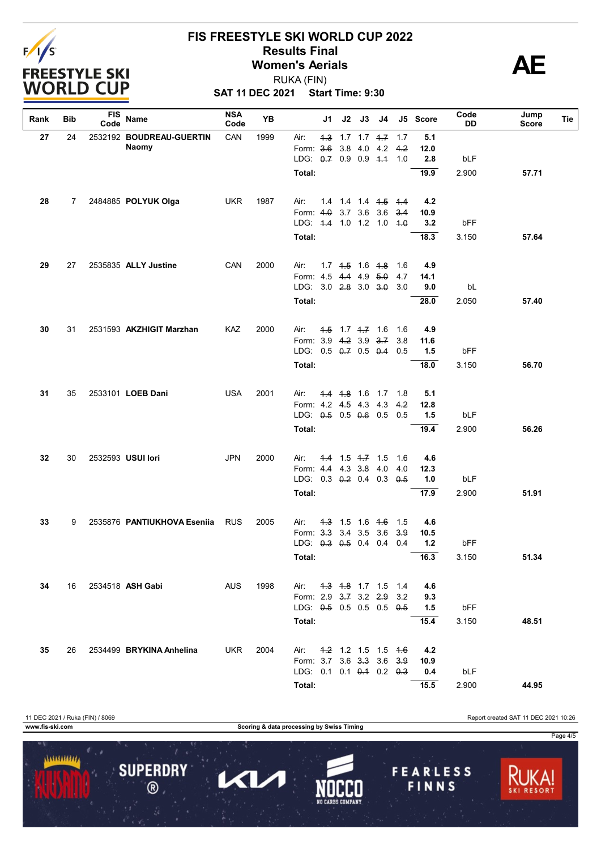

# **FIS FREESTYLE SKI WORLD CUP 2022 Results Final**<br>
Women's Aerials<br>
PUKA (FIN) RUKA (FIN)

**SAT 11 DEC 2021 Start Time: 9:30**

| Rank     | Bib | FIS<br>Code              | Name                        | <b>NSA</b><br>Code | <b>YB</b>                |                              | J1  | J2                      | J3                        | J4                  |        | J5 Score | Code<br>DD | Jump<br>Score | Tie |
|----------|-----|--------------------------|-----------------------------|--------------------|--------------------------|------------------------------|-----|-------------------------|---------------------------|---------------------|--------|----------|------------|---------------|-----|
| 27       | 24  |                          | 2532192 BOUDREAU-GUERTIN    | CAN                | 1999                     | Air:                         |     |                         |                           | 4.3 1.7 1.7 4.7 1.7 |        | 5.1      |            |               |     |
|          |     |                          | Naomy                       |                    |                          | Form: 3.6                    |     |                         |                           | 3.8 4.0 4.2         | 4.2    | 12.0     |            |               |     |
|          |     |                          |                             |                    | LDG: 0.7 0.9 0.9 4.4 1.0 |                              |     |                         |                           |                     | 2.8    | bLF      |            |               |     |
|          |     |                          |                             |                    |                          | Total:                       |     |                         |                           |                     |        | 19.9     | 2.900      | 57.71         |     |
| 28<br>7  |     | 2484885 POLYUK Olga      | <b>UKR</b>                  | 1987               | Air:                     |                              |     |                         | 14 14 14 <del>15 14</del> |                     | 4.2    |          |            |               |     |
|          |     |                          |                             |                    |                          | Form: $4.0$                  |     |                         | 3.7 3.6 3.6               |                     | 3.4    | 10.9     |            |               |     |
|          |     |                          |                             |                    |                          | LDG: 4-4 1.0 1.2 1.0         |     |                         |                           |                     | $-4.0$ | 3.2      | bFF        |               |     |
|          |     |                          |                             | Total:             |                          |                              |     |                         |                           | 18.3                | 3.150  | 57.64    |            |               |     |
| 29       | 27  | 2535835 ALLY Justine     | CAN                         | 2000               | Air:                     |                              |     | $1.7$ $1.5$ $1.6$ $1.8$ |                           | - 1.6               | 4.9    |          |            |               |     |
|          |     |                          |                             |                    |                          | Form: 4.5                    |     |                         | 4.4 4.9 5.0               |                     | 4.7    | 14.1     |            |               |     |
|          |     |                          |                             |                    |                          | LDG: $3.0$ 2.8 $3.0$ 3.0     |     |                         |                           |                     | 3.0    | 9.0      | bL         |               |     |
|          |     |                          |                             |                    |                          | Total:                       |     |                         |                           |                     |        | 28.0     | 2.050      | 57.40         |     |
| 30<br>31 |     | 2531593 AKZHIGIT Marzhan | KAZ                         | 2000               | Air:                     |                              |     | $1.5$ 1.7 $1.7$ 1.6     |                           | 1.6                 | 4.9    |          |            |               |     |
|          |     |                          |                             |                    | Form: 3.9 4.2 3.9 3.7    |                              |     |                         |                           | 3.8                 | 11.6   |          |            |               |     |
|          |     |                          |                             |                    |                          | LDG: $0.5$ $0.7$ $0.5$ $0.4$ |     |                         |                           |                     | 0.5    | 1.5      | bFF        |               |     |
|          |     |                          |                             |                    | Total:                   |                              |     |                         |                           |                     | 18.0   | 3.150    | 56.70      |               |     |
| 31       | 35  |                          | 2533101 LOEB Dani           | <b>USA</b>         | 2001                     | Air:                         |     |                         | 4.4 4.8 1.6 1.7           |                     | 1.8    | 5.1      |            |               |     |
|          |     |                          |                             |                    |                          | Form: 4.2 4.5 4.3 4.3        |     |                         |                           |                     | 4.2    | 12.8     |            |               |     |
|          |     |                          |                             |                    |                          | LDG: 0.5 0.5 0.6 0.5         |     |                         |                           |                     | 0.5    | 1.5      | bLF        |               |     |
|          |     |                          |                             |                    |                          | Total:                       |     |                         |                           |                     |        | 19.4     | 2.900      | 56.26         |     |
| 32       | 30  |                          | 2532593 USUI lori           | <b>JPN</b>         | 2000                     | Air:                         |     |                         | $4.4$ 1.5 $4.7$ 1.5       |                     | 1.6    | 4.6      |            |               |     |
|          |     |                          |                             |                    |                          | Form: 4.4 4.3 3.8 4.0        |     |                         |                           |                     | 4.0    | 12.3     |            |               |     |
|          |     |                          |                             |                    |                          | LDG: 0.3 0.2 0.4 0.3         |     |                         |                           |                     | 0.5    | 1.0      | bLF        |               |     |
|          |     |                          |                             |                    |                          | Total:                       |     |                         |                           |                     |        | 17.9     | 2.900      | 51.91         |     |
| 33       | 9   |                          | 2535876 PANTIUKHOVA Eseniia | <b>RUS</b>         | 2005                     | Air:                         | 4.3 |                         | $1.5$ 1.6 $4.6$           |                     | 1.5    | 4.6      |            |               |     |
|          |     |                          |                             |                    |                          | Form: 3.3 3.4 3.5            |     |                         |                           | 3.6                 | 3.9    | 10.5     |            |               |     |
|          |     |                          |                             |                    |                          | LDG: 0.3 0.5 0.4 0.4         |     |                         |                           |                     | 0.4    | $1.2$    | bFF        |               |     |
|          |     |                          |                             |                    |                          | Total:                       |     |                         |                           |                     |        | 16.3     | 3.150      | 51.34         |     |
| 34       | 16  |                          | 2534518 ASH Gabi            | <b>AUS</b>         | 1998                     | Air:                         |     |                         |                           | 4.3 4.8 1.7 1.5     | 1.4    | 4.6      |            |               |     |
|          |     |                          |                             |                    |                          | Form: 2.9 3.7 3.2 2.9        |     |                         |                           |                     | 3.2    | 9.3      |            |               |     |
|          |     |                          |                             |                    |                          | LDG: 0.5 0.5 0.5 0.5 0.5     |     |                         |                           |                     |        | 1.5      | bFF        |               |     |
|          |     |                          |                             |                    |                          | Total:                       |     |                         |                           |                     |        | 15.4     | 3.150      | 48.51         |     |
| 35       | 26  |                          | 2534499 BRYKINA Anhelina    | UKR                | 2004                     | Air:                         |     |                         |                           | 4.2 1.2 1.5 1.5 4.6 |        | 4.2      |            |               |     |
|          |     |                          |                             |                    |                          | Form: 3.7 3.6 3.3 3.6        |     |                         |                           |                     | 3.9    | 10.9     |            |               |     |
|          |     |                          |                             |                    |                          | LDG: 0.1 0.1 0.4 0.2 0.3     |     |                         |                           |                     |        | 0.4      | bLF        |               |     |
|          |     |                          |                             |                    | Total:                   |                              |     |                         |                           |                     | 15.5   | 2.900    | 44.95      |               |     |

11 DEC 2021 / Ruka (FIN) / 8069 Report created SAT 11 DEC 2021 10:26 **www.fis-ski.com Scoring & data processing by Swiss Timing** Page 4/51111111111 **SUPERDRY FEARLESS** Π  $\blacktriangleleft$  $\circledR$ FINNS